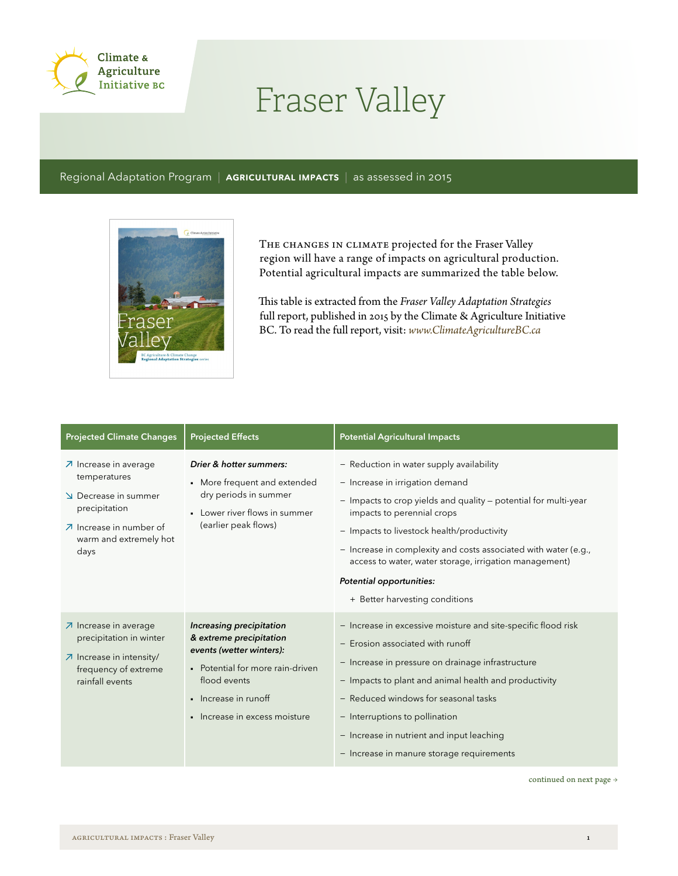

## Fraser Valley

Regional Adaptation Program | AGRICULTURAL IMPACTS | as assessed in 2015



THE CHANGES IN CLIMATE projected for the Fraser Valley region will have a range of impacts on agricultural production. Potential agricultural impacts are summarized the table below.

This table is extracted from the *Fraser Valley Adaptation Strategies*  full report, published in 2015 by the Climate & Agriculture Initiative BC. To read the full report, visit: *www.ClimateAgricultureBC.ca*

| <b>Projected Climate Changes</b>                                                                                                                                                | <b>Projected Effects</b>                                                                                                                                                                                                     | <b>Potential Agricultural Impacts</b>                                                                                                                                                                                                                                                                                                                                                                                 |
|---------------------------------------------------------------------------------------------------------------------------------------------------------------------------------|------------------------------------------------------------------------------------------------------------------------------------------------------------------------------------------------------------------------------|-----------------------------------------------------------------------------------------------------------------------------------------------------------------------------------------------------------------------------------------------------------------------------------------------------------------------------------------------------------------------------------------------------------------------|
| $\overline{\mathcal{A}}$ Increase in average<br>temperatures<br>Decrease in summer<br>precipitation<br>$\n  \lambda\n  Increase in number of$<br>warm and extremely hot<br>days | Drier & hotter summers:<br>• More frequent and extended<br>dry periods in summer<br>Lower river flows in summer<br>$\blacksquare$<br>(earlier peak flows)                                                                    | - Reduction in water supply availability<br>- Increase in irrigation demand<br>- Impacts to crop yields and quality - potential for multi-year<br>impacts to perennial crops<br>- Impacts to livestock health/productivity<br>- Increase in complexity and costs associated with water (e.g.,<br>access to water, water storage, irrigation management)<br>Potential opportunities:<br>+ Better harvesting conditions |
| $\n  7$ Increase in average<br>precipitation in winter<br>7 Increase in intensity/<br>frequency of extreme<br>rainfall events                                                   | Increasing precipitation<br>& extreme precipitation<br>events (wetter winters):<br>• Potential for more rain-driven<br>flood events<br>Increase in runoff<br>$\blacksquare$<br>Increase in excess moisture<br>$\blacksquare$ | - Increase in excessive moisture and site-specific flood risk<br>- Erosion associated with runoff<br>- Increase in pressure on drainage infrastructure<br>- Impacts to plant and animal health and productivity<br>- Reduced windows for seasonal tasks<br>- Interruptions to pollination<br>- Increase in nutrient and input leaching<br>- Increase in manure storage requirements                                   |

continued on next page  $\rightarrow$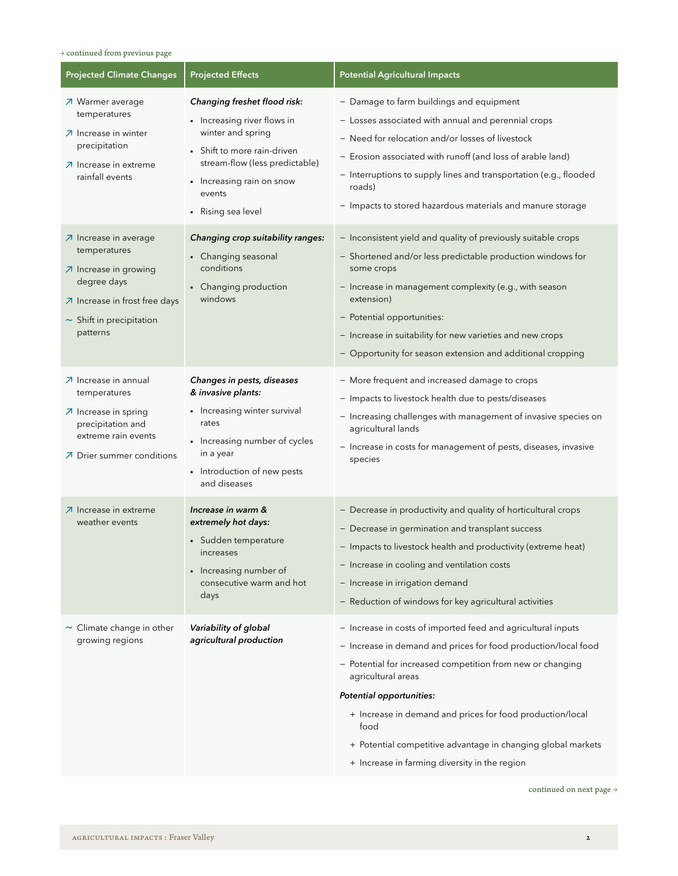## $\rightarrow$  continued from previous page

| <b>Projected Climate Changes</b>                                                                                                                            | <b>Projected Effects</b>                                                                                                                                                                                       | <b>Potential Agricultural Impacts</b>                                                                                                                                                                                                                                                                                                                                                                                                |
|-------------------------------------------------------------------------------------------------------------------------------------------------------------|----------------------------------------------------------------------------------------------------------------------------------------------------------------------------------------------------------------|--------------------------------------------------------------------------------------------------------------------------------------------------------------------------------------------------------------------------------------------------------------------------------------------------------------------------------------------------------------------------------------------------------------------------------------|
| フ Warmer average<br>temperatures<br>$\n  7$ Increase in winter<br>precipitation<br>○ Increase in extreme<br>rainfall events                                 | Changing freshet flood risk:<br>• Increasing river flows in<br>winter and spring<br>• Shift to more rain-driven<br>stream-flow (less predictable)<br>• Increasing rain on snow<br>events<br>• Rising sea level | - Damage to farm buildings and equipment<br>- Losses associated with annual and perennial crops<br>- Need for relocation and/or losses of livestock<br>- Erosion associated with runoff (and loss of arable land)<br>- Interruptions to supply lines and transportation (e.g., flooded<br>roads)<br>- Impacts to stored hazardous materials and manure storage                                                                       |
| ○ Increase in average<br>temperatures<br>○ Increase in growing<br>degree days<br>○ Increase in frost free days<br>$\sim$ Shift in precipitation<br>patterns | Changing crop suitability ranges:<br>• Changing seasonal<br>conditions<br>• Changing production<br>windows                                                                                                     | - Inconsistent yield and quality of previously suitable crops<br>- Shortened and/or less predictable production windows for<br>some crops<br>- Increase in management complexity (e.g., with season<br>extension)<br>- Potential opportunities:<br>- Increase in suitability for new varieties and new crops<br>- Opportunity for season extension and additional cropping                                                           |
| フ Increase in annual<br>temperatures<br>○ Increase in spring<br>precipitation and<br>extreme rain events<br>○ Drier summer conditions                       | Changes in pests, diseases<br>& invasive plants:<br>• Increasing winter survival<br>rates<br>• Increasing number of cycles<br>in a year<br>• Introduction of new pests<br>and diseases                         | - More frequent and increased damage to crops<br>- Impacts to livestock health due to pests/diseases<br>- Increasing challenges with management of invasive species on<br>agricultural lands<br>- Increase in costs for management of pests, diseases, invasive<br>species                                                                                                                                                           |
| ○ Increase in extreme<br>weather events                                                                                                                     | Increase in warm &<br>extremely hot days:<br>• Sudden temperature<br>increases<br>• Increasing number of<br>consecutive warm and hot<br>days                                                                   | - Decrease in productivity and quality of horticultural crops<br>- Decrease in germination and transplant success<br>- Impacts to livestock health and productivity (extreme heat)<br>- Increase in cooling and ventilation costs<br>- Increase in irrigation demand<br>- Reduction of windows for key agricultural activities                                                                                                       |
| $\sim$ Climate change in other<br>growing regions                                                                                                           | Variability of global<br>agricultural production                                                                                                                                                               | - Increase in costs of imported feed and agricultural inputs<br>- Increase in demand and prices for food production/local food<br>- Potential for increased competition from new or changing<br>agricultural areas<br>Potential opportunities:<br>+ Increase in demand and prices for food production/local<br>food<br>+ Potential competitive advantage in changing global markets<br>+ Increase in farming diversity in the region |

continued on next page  $\rightarrow$